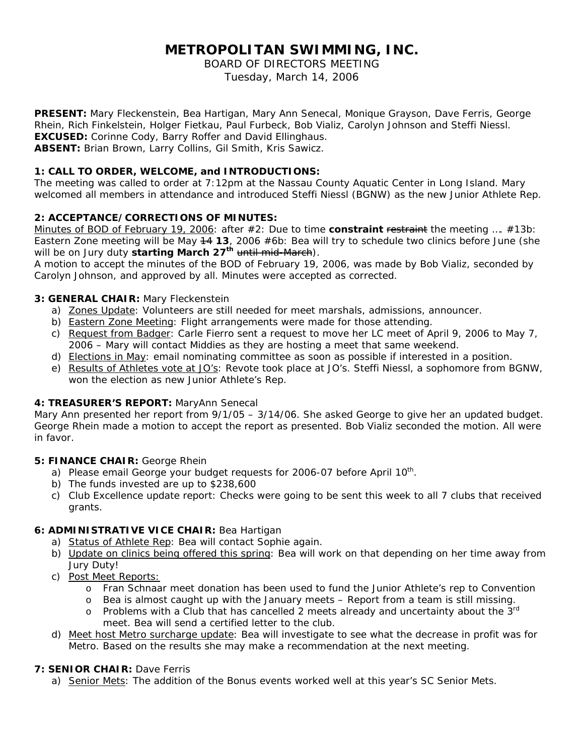# **METROPOLITAN SWIMMING, INC.**

BOARD OF DIRECTORS MEETING

Tuesday, March 14, 2006

**PRESENT:** Mary Fleckenstein, Bea Hartigan, Mary Ann Senecal, Monique Grayson, Dave Ferris, George Rhein, Rich Finkelstein, Holger Fietkau, Paul Furbeck, Bob Vializ, Carolyn Johnson and Steffi Niessl. **EXCUSED:** Corinne Cody, Barry Roffer and David Ellinghaus. **ABSENT:** Brian Brown, Larry Collins, Gil Smith, Kris Sawicz.

# **1: CALL TO ORDER, WELCOME, and INTRODUCTIONS:**

The meeting was called to order at 7:12pm at the Nassau County Aquatic Center in Long Island. Mary welcomed all members in attendance and introduced Steffi Niessl (BGNW) as the new Junior Athlete Rep.

# **2: ACCEPTANCE/CORRECTIONS OF MINUTES:**

Minutes of BOD of February 19, 2006: after #2: *Due to time constraint <del>restraint</del> the meeting ....* #13b: *Eastern Zone meeting will be May 14 13, 2006* #6b: *Bea will try to schedule two clinics before June (she will be on Jury duty starting March 27th until mid-March*).

A motion to accept the minutes of the BOD of February 19, 2006, was made by Bob Vializ, seconded by Carolyn Johnson, and approved by all. Minutes were accepted as corrected.

# **3: GENERAL CHAIR:** Mary Fleckenstein

- a) Zones Update: Volunteers are still needed for meet marshals, admissions, announcer.
- b) Eastern Zone Meeting: Flight arrangements were made for those attending.
- c) Request from Badger: Carle Fierro sent a request to move her LC meet of April 9, 2006 to May 7, 2006 – Mary will contact Middies as they are hosting a meet that same weekend.
- d) Elections in May: email nominating committee as soon as possible if interested in a position.
- e) Results of Athletes vote at JO's: Revote took place at JO's. Steffi Niessl, a sophomore from BGNW, won the election as new Junior Athlete's Rep.

# **4: TREASURER'S REPORT:** MaryAnn Senecal

Mary Ann presented her report from 9/1/05 – 3/14/06. She asked George to give her an updated budget. George Rhein made a motion to accept the report as presented. Bob Vializ seconded the motion. All were in favor.

# **5: FINANCE CHAIR:** George Rhein

- a) Please email George your budget requests for 2006-07 before April 10<sup>th</sup>.
- b) The funds invested are up to \$238,600
- c) Club Excellence update report: Checks were going to be sent this week to all 7 clubs that received grants.

# **6: ADMINISTRATIVE VICE CHAIR:** Bea Hartigan

- a) Status of Athlete Rep: Bea will contact Sophie again.
- b) Update on clinics being offered this spring: Bea will work on that depending on her time away from Jury Duty!
- c) Post Meet Reports:
	- o Fran Schnaar meet donation has been used to fund the Junior Athlete's rep to Convention
	- o Bea is almost caught up with the January meets Report from a team is still missing.
	- $\circ$  Problems with a Club that has cancelled 2 meets already and uncertainty about the  $3^{rd}$ meet. Bea will send a certified letter to the club.
- d) Meet host Metro surcharge update: Bea will investigate to see what the decrease in profit was for Metro. Based on the results she may make a recommendation at the next meeting.

# **7: SENIOR CHAIR:** Dave Ferris

a) Senior Mets: The addition of the Bonus events worked well at this year's SC Senior Mets.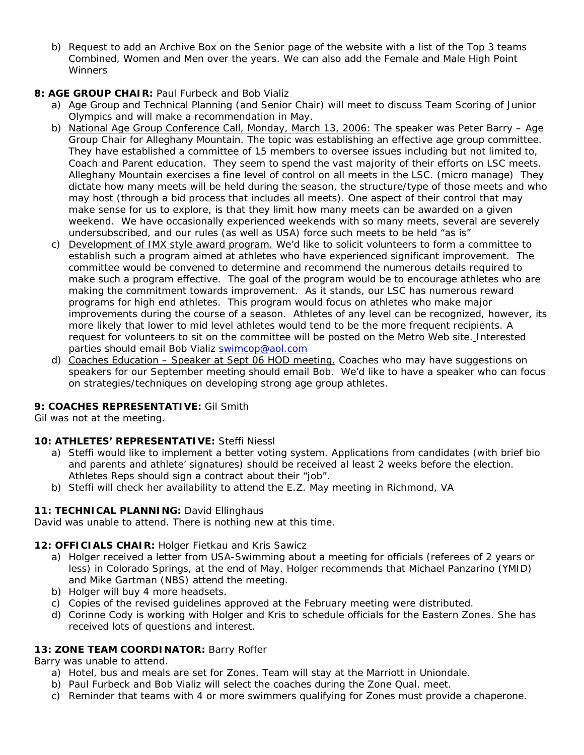b) Request to add an Archive Box on the Senior page of the website with a list of the Top 3 teams Combined, Women and Men over the years. We can also add the Female and Male High Point **Winners** 

# **8: AGE GROUP CHAIR:** Paul Furbeck and Bob Vializ

- a) Age Group and Technical Planning (and Senior Chair) will meet to discuss Team Scoring of Junior Olympics and will make a recommendation in May.
- b) National Age Group Conference Call, Monday, March 13, 2006: The speaker was Peter Barry Age Group Chair for Alleghany Mountain. The topic was establishing an effective age group committee. They have established a committee of 15 members to oversee issues including but not limited to, Coach and Parent education. They seem to spend the vast majority of their efforts on LSC meets. Alleghany Mountain exercises a fine level of control on all meets in the LSC. (micro manage) They dictate how many meets will be held during the season, the structure/type of those meets and who may host (through a bid process that includes all meets). One aspect of their control that may make sense for us to explore, is that they limit how many meets can be awarded on a given weekend. We have occasionally experienced weekends with so many meets, several are severely undersubscribed, and our rules (as well as USA) force such meets to be held "as is"
- c) Development of IMX style award program. We'd like to solicit volunteers to form a committee to establish such a program aimed at athletes who have experienced significant improvement. The committee would be convened to determine and recommend the numerous details required to make such a program effective. The goal of the program would be to encourage athletes who are making the commitment towards improvement. As it stands, our LSC has numerous reward programs for high end athletes. This program would focus on athletes who make major improvements during the course of a season. Athletes of any level can be recognized, however, its more likely that lower to mid level athletes would tend to be the more frequent recipients. A request for volunteers to sit on the committee will be posted on the Metro Web site. Interested parties should email Bob Vializ [swimcop@aol.com](mailto:swimcop@aol.com)
- d) Coaches Education Speaker at Sept 06 HOD meeting. Coaches who may have suggestions on speakers for our September meeting should email Bob. We'd like to have a speaker who can focus on strategies/techniques on developing strong age group athletes.

# **9: COACHES REPRESENTATIVE:** Gil Smith

Gil was not at the meeting.

# **10: ATHLETES' REPRESENTATIVE:** Steffi Niessl

- a) Steffi would like to implement a better voting system. Applications from candidates (with brief bio and parents and athlete' signatures) should be received al least 2 weeks before the election. Athletes Reps should sign a contract about their "job".
- b) Steffi will check her availability to attend the E.Z. May meeting in Richmond, VA

# 11: TECHNICAL PLANNING: David Ellinghaus

David was unable to attend. There is nothing new at this time.

# **12: OFFICIALS CHAIR:** Holger Fietkau and Kris Sawicz

- a) Holger received a letter from USA-Swimming about a meeting for officials (referees of 2 years or less) in Colorado Springs, at the end of May. Holger recommends that Michael Panzarino (YMID) and Mike Gartman (NBS) attend the meeting.
- b) Holger will buy 4 more headsets.
- c) Copies of the revised guidelines approved at the February meeting were distributed.
- d) Corinne Cody is working with Holger and Kris to schedule officials for the Eastern Zones. She has received lots of questions and interest.

# **13: ZONE TEAM COORDINATOR:** Barry Roffer

Barry was unable to attend.

- a) Hotel, bus and meals are set for Zones. Team will stay at the Marriott in Uniondale.
- b) Paul Furbeck and Bob Vializ will select the coaches during the Zone Qual. meet.
- c) Reminder that teams with 4 or more swimmers qualifying for Zones must provide a chaperone.